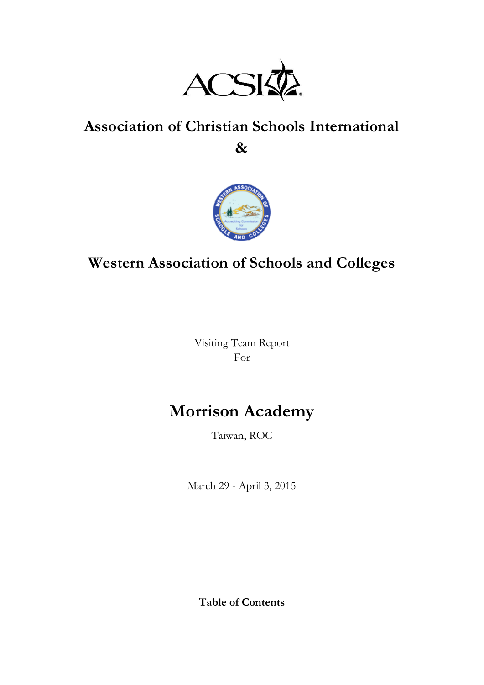

# **Association of Christian Schools International**

**&**



## **Western Association of Schools and Colleges**

Visiting Team Report For

## **Morrison Academy**

Taiwan, ROC

March 29 - April 3, 2015

**Table of Contents**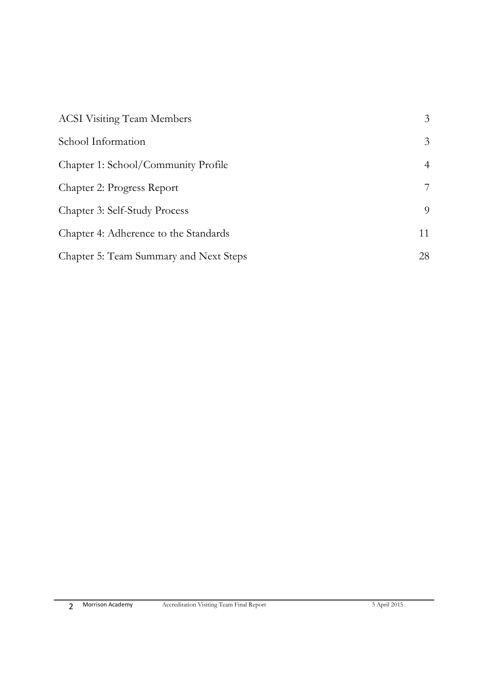| <b>ACSI Visiting Team Members</b>      | 3  |
|----------------------------------------|----|
| School Information                     | 3  |
| Chapter 1: School/Community Profile    | 4  |
| Chapter 2: Progress Report             | 7  |
| Chapter 3: Self-Study Process          | 9  |
| Chapter 4: Adherence to the Standards  | 11 |
| Chapter 5: Team Summary and Next Steps | 28 |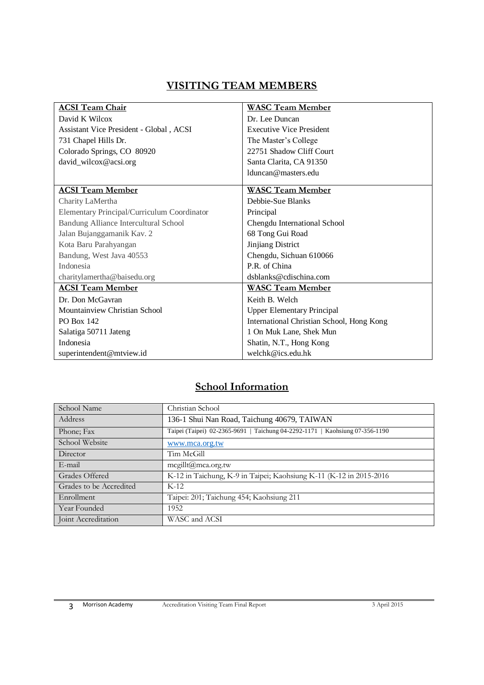#### **VISITING TEAM MEMBERS**

| <b>ACSI Team Chair</b>                      | <b>WASC Team Member</b>                   |  |
|---------------------------------------------|-------------------------------------------|--|
| David K Wilcox                              | Dr. Lee Duncan                            |  |
| Assistant Vice President - Global, ACSI     | <b>Executive Vice President</b>           |  |
| 731 Chapel Hills Dr.                        | The Master's College                      |  |
| Colorado Springs, CO 80920                  | 22751 Shadow Cliff Court                  |  |
| david_wilcox@acsi.org                       | Santa Clarita, CA 91350                   |  |
|                                             | Iduncan@masters.edu                       |  |
| <b>ACSI Team Member</b>                     | <b>WASC Team Member</b>                   |  |
|                                             |                                           |  |
| Charity LaMertha                            | Debbie-Sue Blanks                         |  |
| Elementary Principal/Curriculum Coordinator | Principal                                 |  |
| Bandung Alliance Intercultural School       | Chengdu International School              |  |
| Jalan Bujanggamanik Kav. 2                  | 68 Tong Gui Road                          |  |
| Kota Baru Parahyangan                       | Jinjiang District                         |  |
| Bandung, West Java 40553                    | Chengdu, Sichuan 610066                   |  |
| Indonesia                                   | P.R. of China                             |  |
| charitylamertha@baisedu.org                 | dsblanks@cdischina.com                    |  |
| <b>ACSI Team Member</b>                     | <b>WASC Team Member</b>                   |  |
| Dr. Don McGavran                            | Keith B. Welch                            |  |
| Mountainview Christian School               | <b>Upper Elementary Principal</b>         |  |
| <b>PO Box 142</b>                           | International Christian School, Hong Kong |  |
| Salatiga 50711 Jateng                       | 1 On Muk Lane, Shek Mun                   |  |
| Indonesia                                   | Shatin, N.T., Hong Kong                   |  |
| superintendent@mtview.id                    | welchk@ics.edu.hk                         |  |

## **School Information**

| School Name             | Christian School                                                             |
|-------------------------|------------------------------------------------------------------------------|
| Address                 | 136-1 Shui Nan Road, Taichung 40679, TAIWAN                                  |
| Phone: Fax              | Taipei (Taipei) 02-2365-9691   Taichung 04-2292-1171   Kaohsiung 07-356-1190 |
| School Website          | www.mca.org.tw                                                               |
| Director                | Tim McGill                                                                   |
| E-mail                  | mcgillt@mca.org.tw                                                           |
| Grades Offered          | K-12 in Taichung, K-9 in Taipei; Kaohsiung K-11 (K-12 in 2015-2016)          |
| Grades to be Accredited | $K-12$                                                                       |
| Enrollment              | Taipei: 201; Taichung 454; Kaohsiung 211                                     |
| Year Founded            | 1952                                                                         |
| Joint Accreditation     | WASC and ACSI                                                                |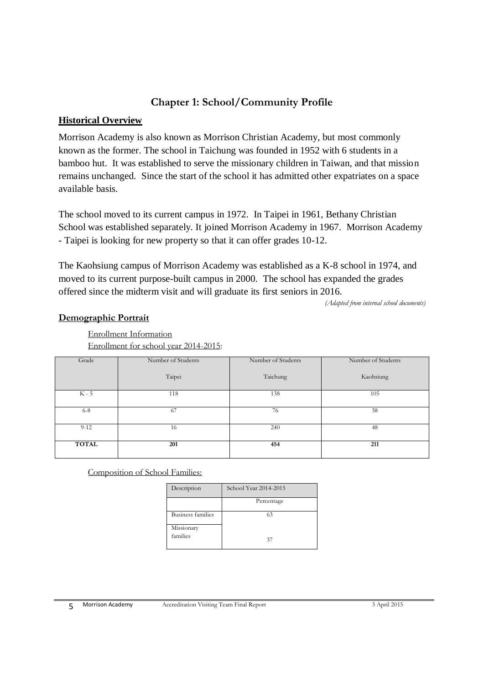## **Chapter 1: School/Community Profile**

#### **Historical Overview**

Morrison Academy is also known as Morrison Christian Academy, but most commonly known as the former. The school in Taichung was founded in 1952 with 6 students in a bamboo hut. It was established to serve the missionary children in Taiwan, and that mission remains unchanged. Since the start of the school it has admitted other expatriates on a space available basis.

The school moved to its current campus in 1972. In Taipei in 1961, Bethany Christian School was established separately. It joined Morrison Academy in 1967. Morrison Academy - Taipei is looking for new property so that it can offer grades 10-12.

The Kaohsiung campus of Morrison Academy was established as a K-8 school in 1974, and moved to its current purpose-built campus in 2000. The school has expanded the grades offered since the midterm visit and will graduate its first seniors in 2016.

*(Adapted from internal school documents)*

#### **Demographic Portrait**

Enrollment Information Enrollment for school year 2014-2015:

| Grade        | Number of Students | Number of Students | Number of Students |
|--------------|--------------------|--------------------|--------------------|
|              |                    |                    |                    |
|              |                    |                    |                    |
|              | Taipei             | Taichung           | Kaohsiung          |
|              |                    |                    |                    |
|              |                    |                    |                    |
| $K - 5$      | 118                | 138                | 105                |
|              |                    |                    |                    |
|              |                    |                    |                    |
| $6 - 8$      | 67                 | 76                 | 58                 |
|              |                    |                    |                    |
|              |                    |                    |                    |
| $9 - 12$     | 16                 | 240                | 48                 |
|              |                    |                    |                    |
|              |                    |                    |                    |
| <b>TOTAL</b> | 201                | 454                | 211                |
|              |                    |                    |                    |
|              |                    |                    |                    |

Composition of School Families:

| Description              | School Year 2014-2015 |
|--------------------------|-----------------------|
|                          | Percentage            |
| <b>Business families</b> | 63                    |
| Missionary               |                       |
| families                 | 37                    |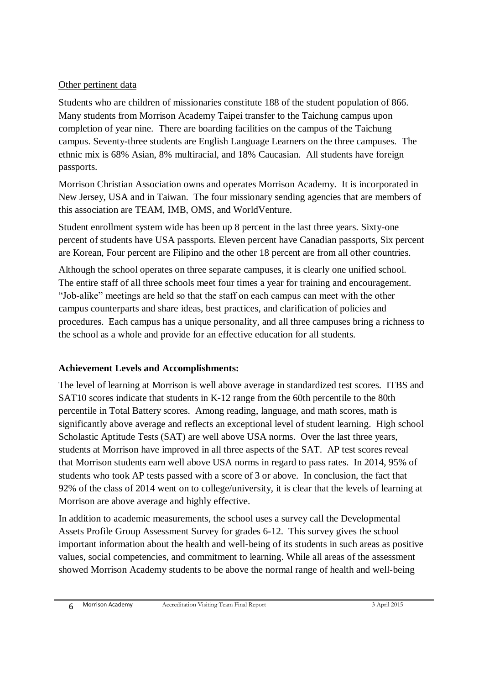#### Other pertinent data

Students who are children of missionaries constitute 188 of the student population of 866. Many students from Morrison Academy Taipei transfer to the Taichung campus upon completion of year nine. There are boarding facilities on the campus of the Taichung campus. Seventy-three students are English Language Learners on the three campuses. The ethnic mix is 68% Asian, 8% multiracial, and 18% Caucasian. All students have foreign passports.

Morrison Christian Association owns and operates Morrison Academy. It is incorporated in New Jersey, USA and in Taiwan. The four missionary sending agencies that are members of this association are TEAM, IMB, OMS, and WorldVenture.

Student enrollment system wide has been up 8 percent in the last three years. Sixty-one percent of students have USA passports. Eleven percent have Canadian passports, Six percent are Korean, Four percent are Filipino and the other 18 percent are from all other countries.

Although the school operates on three separate campuses, it is clearly one unified school. The entire staff of all three schools meet four times a year for training and encouragement. "Job-alike" meetings are held so that the staff on each campus can meet with the other campus counterparts and share ideas, best practices, and clarification of policies and procedures. Each campus has a unique personality, and all three campuses bring a richness to the school as a whole and provide for an effective education for all students.

#### **Achievement Levels and Accomplishments:**

The level of learning at Morrison is well above average in standardized test scores. ITBS and SAT10 scores indicate that students in K-12 range from the 60th percentile to the 80th percentile in Total Battery scores. Among reading, language, and math scores, math is significantly above average and reflects an exceptional level of student learning. High school Scholastic Aptitude Tests (SAT) are well above USA norms. Over the last three years, students at Morrison have improved in all three aspects of the SAT. AP test scores reveal that Morrison students earn well above USA norms in regard to pass rates. In 2014, 95% of students who took AP tests passed with a score of 3 or above. In conclusion, the fact that 92% of the class of 2014 went on to college/university, it is clear that the levels of learning at Morrison are above average and highly effective.

In addition to academic measurements, the school uses a survey call the Developmental Assets Profile Group Assessment Survey for grades 6-12. This survey gives the school important information about the health and well-being of its students in such areas as positive values, social competencies, and commitment to learning. While all areas of the assessment showed Morrison Academy students to be above the normal range of health and well-being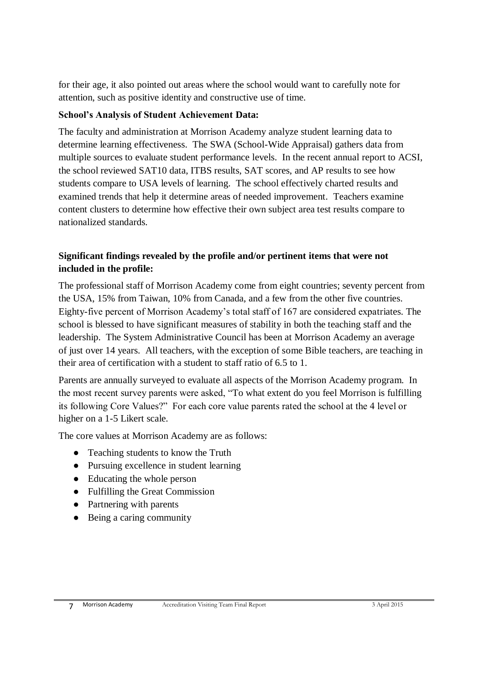for their age, it also pointed out areas where the school would want to carefully note for attention, such as positive identity and constructive use of time.

#### **School's Analysis of Student Achievement Data:**

The faculty and administration at Morrison Academy analyze student learning data to determine learning effectiveness. The SWA (School-Wide Appraisal) gathers data from multiple sources to evaluate student performance levels. In the recent annual report to ACSI, the school reviewed SAT10 data, ITBS results, SAT scores, and AP results to see how students compare to USA levels of learning. The school effectively charted results and examined trends that help it determine areas of needed improvement. Teachers examine content clusters to determine how effective their own subject area test results compare to nationalized standards.

#### **Significant findings revealed by the profile and/or pertinent items that were not included in the profile:**

The professional staff of Morrison Academy come from eight countries; seventy percent from the USA, 15% from Taiwan, 10% from Canada, and a few from the other five countries. Eighty-five percent of Morrison Academy's total staff of 167 are considered expatriates. The school is blessed to have significant measures of stability in both the teaching staff and the leadership. The System Administrative Council has been at Morrison Academy an average of just over 14 years. All teachers, with the exception of some Bible teachers, are teaching in their area of certification with a student to staff ratio of 6.5 to 1.

Parents are annually surveyed to evaluate all aspects of the Morrison Academy program. In the most recent survey parents were asked, "To what extent do you feel Morrison is fulfilling its following Core Values?" For each core value parents rated the school at the 4 level or higher on a 1-5 Likert scale.

The core values at Morrison Academy are as follows:

- Teaching students to know the Truth
- Pursuing excellence in student learning
- Educating the whole person
- Fulfilling the Great Commission
- Partnering with parents
- Being a caring community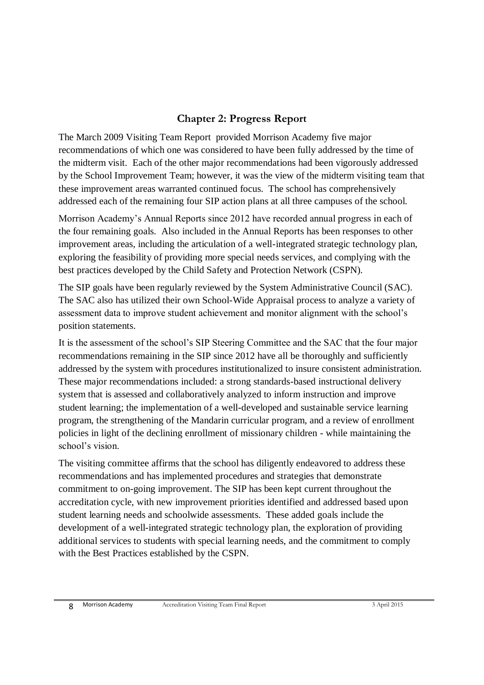## **Chapter 2: Progress Report**

The March 2009 Visiting Team Report provided Morrison Academy five major recommendations of which one was considered to have been fully addressed by the time of the midterm visit. Each of the other major recommendations had been vigorously addressed by the School Improvement Team; however, it was the view of the midterm visiting team that these improvement areas warranted continued focus. The school has comprehensively addressed each of the remaining four SIP action plans at all three campuses of the school.

Morrison Academy's Annual Reports since 2012 have recorded annual progress in each of the four remaining goals. Also included in the Annual Reports has been responses to other improvement areas, including the articulation of a well-integrated strategic technology plan, exploring the feasibility of providing more special needs services, and complying with the best practices developed by the Child Safety and Protection Network (CSPN).

The SIP goals have been regularly reviewed by the System Administrative Council (SAC). The SAC also has utilized their own School-Wide Appraisal process to analyze a variety of assessment data to improve student achievement and monitor alignment with the school's position statements.

It is the assessment of the school's SIP Steering Committee and the SAC that the four major recommendations remaining in the SIP since 2012 have all be thoroughly and sufficiently addressed by the system with procedures institutionalized to insure consistent administration. These major recommendations included: a strong standards-based instructional delivery system that is assessed and collaboratively analyzed to inform instruction and improve student learning; the implementation of a well-developed and sustainable service learning program, the strengthening of the Mandarin curricular program, and a review of enrollment policies in light of the declining enrollment of missionary children - while maintaining the school's vision.

The visiting committee affirms that the school has diligently endeavored to address these recommendations and has implemented procedures and strategies that demonstrate commitment to on-going improvement. The SIP has been kept current throughout the accreditation cycle, with new improvement priorities identified and addressed based upon student learning needs and schoolwide assessments. These added goals include the development of a well-integrated strategic technology plan, the exploration of providing additional services to students with special learning needs, and the commitment to comply with the Best Practices established by the CSPN.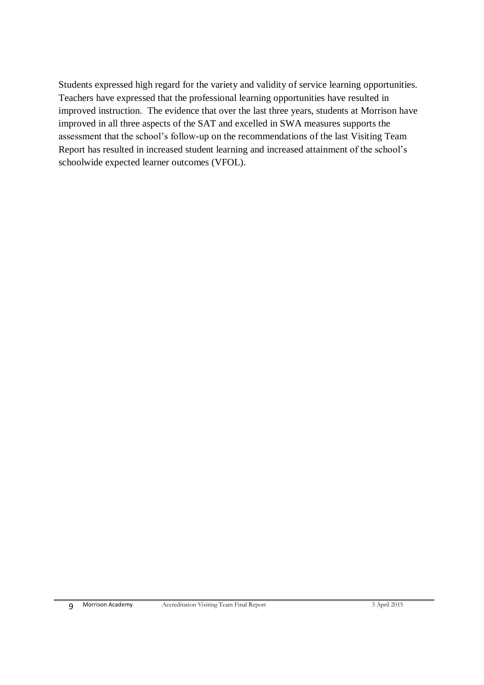Students expressed high regard for the variety and validity of service learning opportunities. Teachers have expressed that the professional learning opportunities have resulted in improved instruction. The evidence that over the last three years, students at Morrison have improved in all three aspects of the SAT and excelled in SWA measures supports the assessment that the school's follow-up on the recommendations of the last Visiting Team Report has resulted in increased student learning and increased attainment of the school's schoolwide expected learner outcomes (VFOL).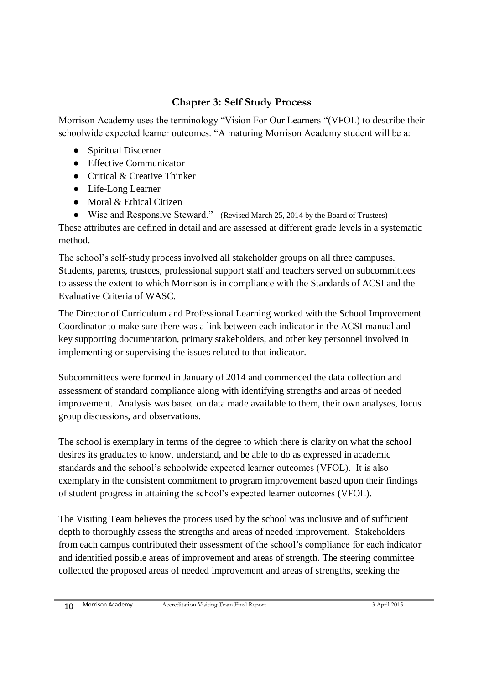## **Chapter 3: Self Study Process**

Morrison Academy uses the terminology "Vision For Our Learners "(VFOL) to describe their schoolwide expected learner outcomes. "A maturing Morrison Academy student will be a:

- Spiritual Discerner
- Effective Communicator
- Critical & Creative Thinker
- Life-Long Learner
- Moral & Ethical Citizen

● Wise and Responsive Steward." (Revised March 25, 2014 by the Board of Trustees) These attributes are defined in detail and are assessed at different grade levels in a systematic method.

The school's self-study process involved all stakeholder groups on all three campuses. Students, parents, trustees, professional support staff and teachers served on subcommittees to assess the extent to which Morrison is in compliance with the Standards of ACSI and the Evaluative Criteria of WASC.

The Director of Curriculum and Professional Learning worked with the School Improvement Coordinator to make sure there was a link between each indicator in the ACSI manual and key supporting documentation, primary stakeholders, and other key personnel involved in implementing or supervising the issues related to that indicator.

Subcommittees were formed in January of 2014 and commenced the data collection and assessment of standard compliance along with identifying strengths and areas of needed improvement. Analysis was based on data made available to them, their own analyses, focus group discussions, and observations.

The school is exemplary in terms of the degree to which there is clarity on what the school desires its graduates to know, understand, and be able to do as expressed in academic standards and the school's schoolwide expected learner outcomes (VFOL). It is also exemplary in the consistent commitment to program improvement based upon their findings of student progress in attaining the school's expected learner outcomes (VFOL).

The Visiting Team believes the process used by the school was inclusive and of sufficient depth to thoroughly assess the strengths and areas of needed improvement. Stakeholders from each campus contributed their assessment of the school's compliance for each indicator and identified possible areas of improvement and areas of strength. The steering committee collected the proposed areas of needed improvement and areas of strengths, seeking the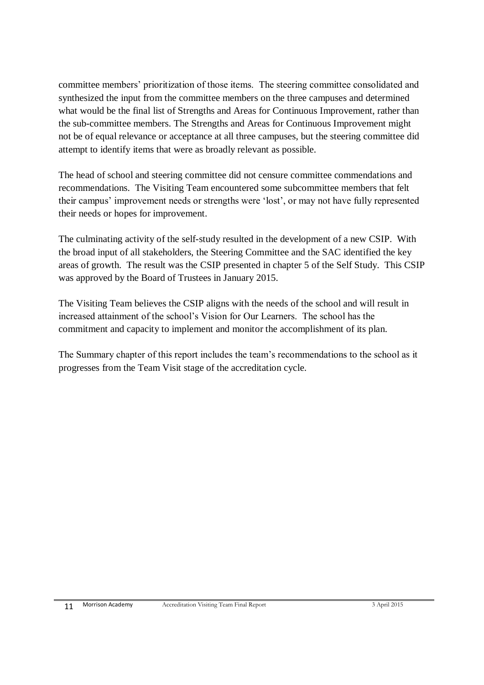committee members' prioritization of those items. The steering committee consolidated and synthesized the input from the committee members on the three campuses and determined what would be the final list of Strengths and Areas for Continuous Improvement, rather than the sub-committee members. The Strengths and Areas for Continuous Improvement might not be of equal relevance or acceptance at all three campuses, but the steering committee did attempt to identify items that were as broadly relevant as possible.

The head of school and steering committee did not censure committee commendations and recommendations. The Visiting Team encountered some subcommittee members that felt their campus' improvement needs or strengths were 'lost', or may not have fully represented their needs or hopes for improvement.

The culminating activity of the self-study resulted in the development of a new CSIP. With the broad input of all stakeholders, the Steering Committee and the SAC identified the key areas of growth. The result was the CSIP presented in chapter 5 of the Self Study. This CSIP was approved by the Board of Trustees in January 2015.

The Visiting Team believes the CSIP aligns with the needs of the school and will result in increased attainment of the school's Vision for Our Learners. The school has the commitment and capacity to implement and monitor the accomplishment of its plan.

The Summary chapter of this report includes the team's recommendations to the school as it progresses from the Team Visit stage of the accreditation cycle.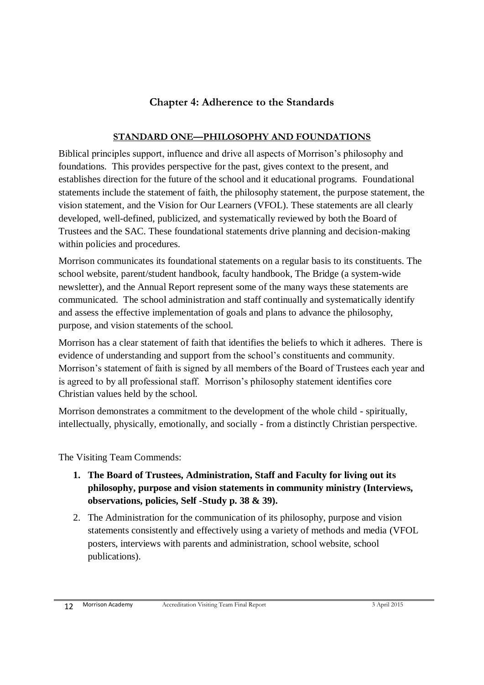## **Chapter 4: Adherence to the Standards**

#### **STANDARD ONE—PHILOSOPHY AND FOUNDATIONS**

Biblical principles support, influence and drive all aspects of Morrison's philosophy and foundations. This provides perspective for the past, gives context to the present, and establishes direction for the future of the school and it educational programs. Foundational statements include the statement of faith, the philosophy statement, the purpose statement, the vision statement, and the Vision for Our Learners (VFOL). These statements are all clearly developed, well-defined, publicized, and systematically reviewed by both the Board of Trustees and the SAC. These foundational statements drive planning and decision-making within policies and procedures.

Morrison communicates its foundational statements on a regular basis to its constituents. The school website, parent/student handbook, faculty handbook, The Bridge (a system-wide newsletter), and the Annual Report represent some of the many ways these statements are communicated. The school administration and staff continually and systematically identify and assess the effective implementation of goals and plans to advance the philosophy, purpose, and vision statements of the school.

Morrison has a clear statement of faith that identifies the beliefs to which it adheres. There is evidence of understanding and support from the school's constituents and community. Morrison's statement of faith is signed by all members of the Board of Trustees each year and is agreed to by all professional staff. Morrison's philosophy statement identifies core Christian values held by the school.

Morrison demonstrates a commitment to the development of the whole child - spiritually, intellectually, physically, emotionally, and socially - from a distinctly Christian perspective.

The Visiting Team Commends:

- **1. The Board of Trustees, Administration, Staff and Faculty for living out its philosophy, purpose and vision statements in community ministry (Interviews, observations, policies, Self -Study p. 38 & 39).**
- 2. The Administration for the communication of its philosophy, purpose and vision statements consistently and effectively using a variety of methods and media (VFOL posters, interviews with parents and administration, school website, school publications).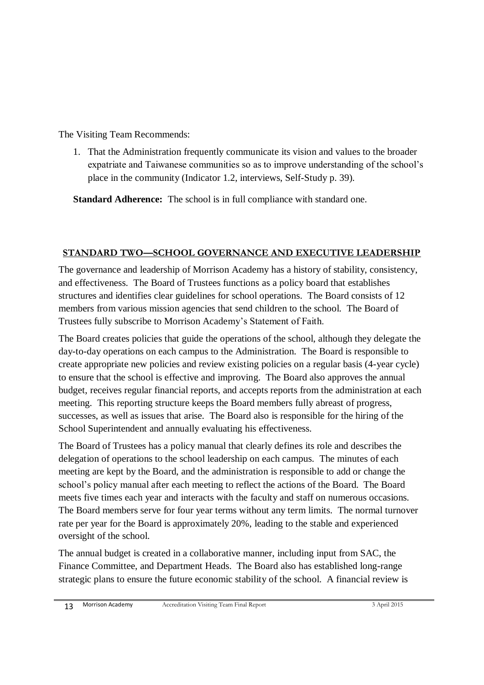The Visiting Team Recommends:

1. That the Administration frequently communicate its vision and values to the broader expatriate and Taiwanese communities so as to improve understanding of the school's place in the community (Indicator 1.2, interviews, Self-Study p. 39).

**Standard Adherence:** The school is in full compliance with standard one.

## **STANDARD TWO—SCHOOL GOVERNANCE AND EXECUTIVE LEADERSHIP**

The governance and leadership of Morrison Academy has a history of stability, consistency, and effectiveness. The Board of Trustees functions as a policy board that establishes structures and identifies clear guidelines for school operations. The Board consists of 12 members from various mission agencies that send children to the school. The Board of Trustees fully subscribe to Morrison Academy's Statement of Faith.

The Board creates policies that guide the operations of the school, although they delegate the day-to-day operations on each campus to the Administration. The Board is responsible to create appropriate new policies and review existing policies on a regular basis (4-year cycle) to ensure that the school is effective and improving. The Board also approves the annual budget, receives regular financial reports, and accepts reports from the administration at each meeting. This reporting structure keeps the Board members fully abreast of progress, successes, as well as issues that arise. The Board also is responsible for the hiring of the School Superintendent and annually evaluating his effectiveness.

The Board of Trustees has a policy manual that clearly defines its role and describes the delegation of operations to the school leadership on each campus. The minutes of each meeting are kept by the Board, and the administration is responsible to add or change the school's policy manual after each meeting to reflect the actions of the Board. The Board meets five times each year and interacts with the faculty and staff on numerous occasions. The Board members serve for four year terms without any term limits. The normal turnover rate per year for the Board is approximately 20%, leading to the stable and experienced oversight of the school.

The annual budget is created in a collaborative manner, including input from SAC, the Finance Committee, and Department Heads. The Board also has established long-range strategic plans to ensure the future economic stability of the school. A financial review is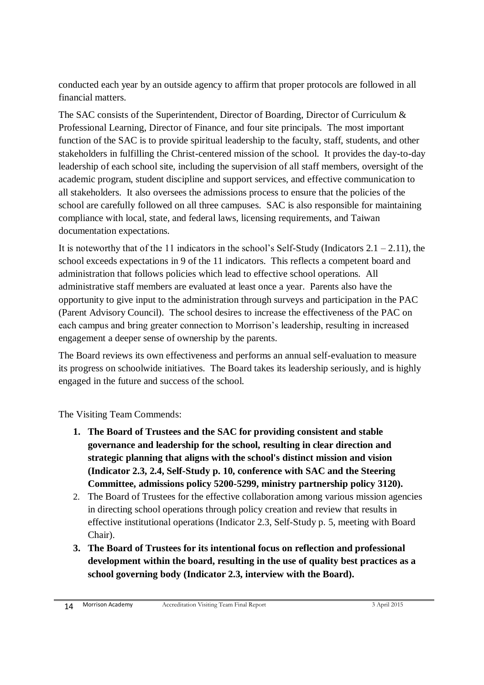conducted each year by an outside agency to affirm that proper protocols are followed in all financial matters.

The SAC consists of the Superintendent, Director of Boarding, Director of Curriculum & Professional Learning, Director of Finance, and four site principals. The most important function of the SAC is to provide spiritual leadership to the faculty, staff, students, and other stakeholders in fulfilling the Christ-centered mission of the school. It provides the day-to-day leadership of each school site, including the supervision of all staff members, oversight of the academic program, student discipline and support services, and effective communication to all stakeholders. It also oversees the admissions process to ensure that the policies of the school are carefully followed on all three campuses. SAC is also responsible for maintaining compliance with local, state, and federal laws, licensing requirements, and Taiwan documentation expectations.

It is noteworthy that of the 11 indicators in the school's Self-Study (Indicators  $2.1 - 2.11$ ), the school exceeds expectations in 9 of the 11 indicators. This reflects a competent board and administration that follows policies which lead to effective school operations. All administrative staff members are evaluated at least once a year. Parents also have the opportunity to give input to the administration through surveys and participation in the PAC (Parent Advisory Council). The school desires to increase the effectiveness of the PAC on each campus and bring greater connection to Morrison's leadership, resulting in increased engagement a deeper sense of ownership by the parents.

The Board reviews its own effectiveness and performs an annual self-evaluation to measure its progress on schoolwide initiatives. The Board takes its leadership seriously, and is highly engaged in the future and success of the school.

The Visiting Team Commends:

- **1. The Board of Trustees and the SAC for providing consistent and stable governance and leadership for the school, resulting in clear direction and strategic planning that aligns with the school's distinct mission and vision (Indicator 2.3, 2.4, Self-Study p. 10, conference with SAC and the Steering Committee, admissions policy 5200-5299, ministry partnership policy 3120).**
- 2. The Board of Trustees for the effective collaboration among various mission agencies in directing school operations through policy creation and review that results in effective institutional operations (Indicator 2.3, Self-Study p. 5, meeting with Board Chair).
- **3. The Board of Trustees for its intentional focus on reflection and professional development within the board, resulting in the use of quality best practices as a school governing body (Indicator 2.3, interview with the Board).**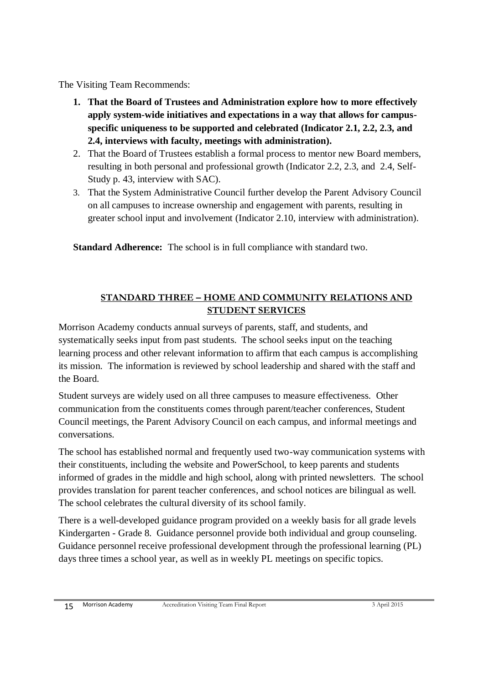The Visiting Team Recommends:

- **1. That the Board of Trustees and Administration explore how to more effectively apply system-wide initiatives and expectations in a way that allows for campusspecific uniqueness to be supported and celebrated (Indicator 2.1, 2.2, 2.3, and 2.4, interviews with faculty, meetings with administration).**
- 2. That the Board of Trustees establish a formal process to mentor new Board members, resulting in both personal and professional growth (Indicator 2.2, 2.3, and 2.4, Self-Study p. 43, interview with SAC).
- 3. That the System Administrative Council further develop the Parent Advisory Council on all campuses to increase ownership and engagement with parents, resulting in greater school input and involvement (Indicator 2.10, interview with administration).

**Standard Adherence:** The school is in full compliance with standard two.

## **STANDARD THREE – HOME AND COMMUNITY RELATIONS AND STUDENT SERVICES**

Morrison Academy conducts annual surveys of parents, staff, and students, and systematically seeks input from past students. The school seeks input on the teaching learning process and other relevant information to affirm that each campus is accomplishing its mission. The information is reviewed by school leadership and shared with the staff and the Board.

Student surveys are widely used on all three campuses to measure effectiveness. Other communication from the constituents comes through parent/teacher conferences, Student Council meetings, the Parent Advisory Council on each campus, and informal meetings and conversations.

The school has established normal and frequently used two-way communication systems with their constituents, including the website and PowerSchool, to keep parents and students informed of grades in the middle and high school, along with printed newsletters. The school provides translation for parent teacher conferences, and school notices are bilingual as well. The school celebrates the cultural diversity of its school family.

There is a well-developed guidance program provided on a weekly basis for all grade levels Kindergarten - Grade 8. Guidance personnel provide both individual and group counseling. Guidance personnel receive professional development through the professional learning (PL) days three times a school year, as well as in weekly PL meetings on specific topics.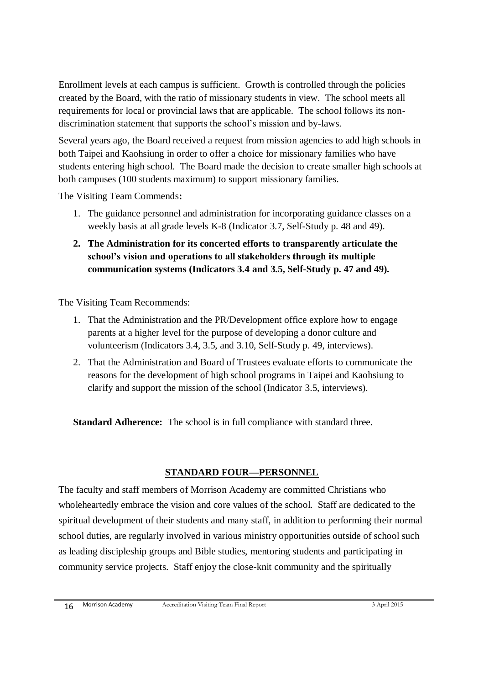Enrollment levels at each campus is sufficient. Growth is controlled through the policies created by the Board, with the ratio of missionary students in view. The school meets all requirements for local or provincial laws that are applicable. The school follows its nondiscrimination statement that supports the school's mission and by-laws.

Several years ago, the Board received a request from mission agencies to add high schools in both Taipei and Kaohsiung in order to offer a choice for missionary families who have students entering high school. The Board made the decision to create smaller high schools at both campuses (100 students maximum) to support missionary families.

The Visiting Team Commends**:**

- 1. The guidance personnel and administration for incorporating guidance classes on a weekly basis at all grade levels K-8 (Indicator 3.7, Self-Study p. 48 and 49).
- **2. The Administration for its concerted efforts to transparently articulate the school's vision and operations to all stakeholders through its multiple communication systems (Indicators 3.4 and 3.5, Self-Study p. 47 and 49).**

The Visiting Team Recommends:

- 1. That the Administration and the PR/Development office explore how to engage parents at a higher level for the purpose of developing a donor culture and volunteerism (Indicators 3.4, 3.5, and 3.10, Self-Study p. 49, interviews).
- 2. That the Administration and Board of Trustees evaluate efforts to communicate the reasons for the development of high school programs in Taipei and Kaohsiung to clarify and support the mission of the school (Indicator 3.5, interviews).

**Standard Adherence:** The school is in full compliance with standard three.

## **STANDARD FOUR—PERSONNEL**

The faculty and staff members of Morrison Academy are committed Christians who wholeheartedly embrace the vision and core values of the school. Staff are dedicated to the spiritual development of their students and many staff, in addition to performing their normal school duties, are regularly involved in various ministry opportunities outside of school such as leading discipleship groups and Bible studies, mentoring students and participating in community service projects. Staff enjoy the close-knit community and the spiritually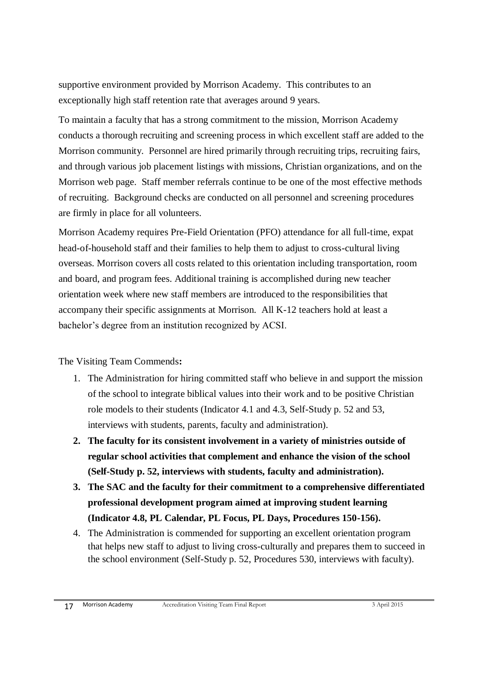supportive environment provided by Morrison Academy. This contributes to an exceptionally high staff retention rate that averages around 9 years.

To maintain a faculty that has a strong commitment to the mission, Morrison Academy conducts a thorough recruiting and screening process in which excellent staff are added to the Morrison community. Personnel are hired primarily through recruiting trips, recruiting fairs, and through various job placement listings with missions, Christian organizations, and on the Morrison web page. Staff member referrals continue to be one of the most effective methods of recruiting. Background checks are conducted on all personnel and screening procedures are firmly in place for all volunteers.

Morrison Academy requires Pre-Field Orientation (PFO) attendance for all full-time, expat head-of-household staff and their families to help them to adjust to cross-cultural living overseas. Morrison covers all costs related to this orientation including transportation, room and board, and program fees. Additional training is accomplished during new teacher orientation week where new staff members are introduced to the responsibilities that accompany their specific assignments at Morrison. All K-12 teachers hold at least a bachelor's degree from an institution recognized by ACSI.

#### The Visiting Team Commends**:**

- 1. The Administration for hiring committed staff who believe in and support the mission of the school to integrate biblical values into their work and to be positive Christian role models to their students (Indicator 4.1 and 4.3, Self-Study p. 52 and 53, interviews with students, parents, faculty and administration).
- **2. The faculty for its consistent involvement in a variety of ministries outside of regular school activities that complement and enhance the vision of the school (Self-Study p. 52, interviews with students, faculty and administration).**
- **3. The SAC and the faculty for their commitment to a comprehensive differentiated professional development program aimed at improving student learning (Indicator 4.8, PL Calendar, PL Focus, PL Days, Procedures 150-156).**
- 4. The Administration is commended for supporting an excellent orientation program that helps new staff to adjust to living cross-culturally and prepares them to succeed in the school environment (Self-Study p. 52, Procedures 530, interviews with faculty).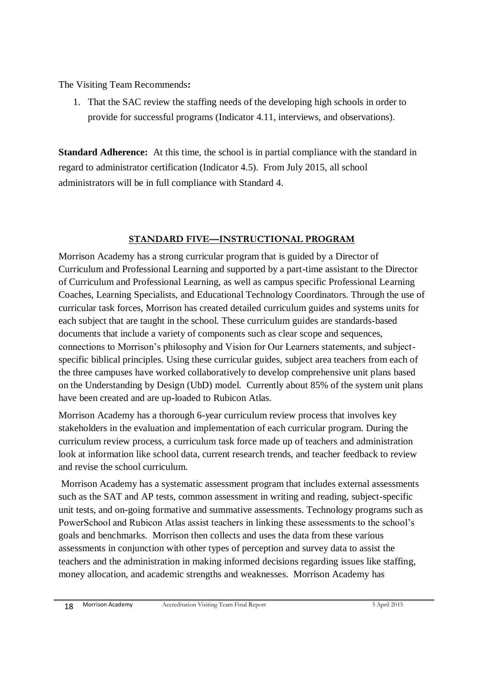The Visiting Team Recommends**:**

1. That the SAC review the staffing needs of the developing high schools in order to provide for successful programs (Indicator 4.11, interviews, and observations).

**Standard Adherence:** At this time, the school is in partial compliance with the standard in regard to administrator certification (Indicator 4.5). From July 2015, all school administrators will be in full compliance with Standard 4.

#### **STANDARD FIVE—INSTRUCTIONAL PROGRAM**

Morrison Academy has a strong curricular program that is guided by a Director of Curriculum and Professional Learning and supported by a part-time assistant to the Director of Curriculum and Professional Learning, as well as campus specific Professional Learning Coaches, Learning Specialists, and Educational Technology Coordinators. Through the use of curricular task forces, Morrison has created detailed curriculum guides and systems units for each subject that are taught in the school. These curriculum guides are standards-based documents that include a variety of components such as clear scope and sequences, connections to Morrison's philosophy and Vision for Our Learners statements, and subjectspecific biblical principles. Using these curricular guides, subject area teachers from each of the three campuses have worked collaboratively to develop comprehensive unit plans based on the Understanding by Design (UbD) model. Currently about 85% of the system unit plans have been created and are up-loaded to Rubicon Atlas.

Morrison Academy has a thorough 6-year curriculum review process that involves key stakeholders in the evaluation and implementation of each curricular program. During the curriculum review process, a curriculum task force made up of teachers and administration look at information like school data, current research trends, and teacher feedback to review and revise the school curriculum.

Morrison Academy has a systematic assessment program that includes external assessments such as the SAT and AP tests, common assessment in writing and reading, subject-specific unit tests, and on-going formative and summative assessments. Technology programs such as PowerSchool and Rubicon Atlas assist teachers in linking these assessments to the school's goals and benchmarks. Morrison then collects and uses the data from these various assessments in conjunction with other types of perception and survey data to assist the teachers and the administration in making informed decisions regarding issues like staffing, money allocation, and academic strengths and weaknesses. Morrison Academy has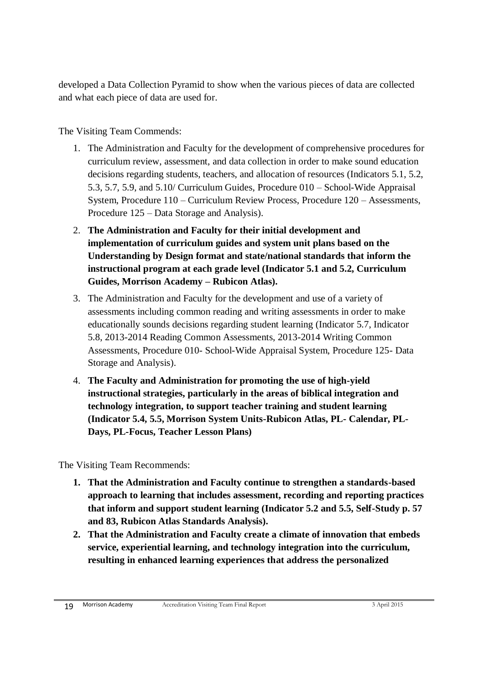developed a Data Collection Pyramid to show when the various pieces of data are collected and what each piece of data are used for.

The Visiting Team Commends:

- 1. The Administration and Faculty for the development of comprehensive procedures for curriculum review, assessment, and data collection in order to make sound education decisions regarding students, teachers, and allocation of resources (Indicators 5.1, 5.2, 5.3, 5.7, 5.9, and 5.10/ Curriculum Guides, Procedure 010 – School-Wide Appraisal System, Procedure 110 – Curriculum Review Process, Procedure 120 – Assessments, Procedure 125 – Data Storage and Analysis).
- 2. **The Administration and Faculty for their initial development and implementation of curriculum guides and system unit plans based on the Understanding by Design format and state/national standards that inform the instructional program at each grade level (Indicator 5.1 and 5.2, Curriculum Guides, Morrison Academy – Rubicon Atlas).**
- 3. The Administration and Faculty for the development and use of a variety of assessments including common reading and writing assessments in order to make educationally sounds decisions regarding student learning (Indicator 5.7, Indicator 5.8, 2013-2014 Reading Common Assessments, 2013-2014 Writing Common Assessments, Procedure 010- School-Wide Appraisal System, Procedure 125- Data Storage and Analysis).
- 4. **The Faculty and Administration for promoting the use of high-yield instructional strategies, particularly in the areas of biblical integration and technology integration, to support teacher training and student learning (Indicator 5.4, 5.5, Morrison System Units-Rubicon Atlas, PL- Calendar, PL-Days, PL-Focus, Teacher Lesson Plans)**

The Visiting Team Recommends:

- **1. That the Administration and Faculty continue to strengthen a standards-based approach to learning that includes assessment, recording and reporting practices that inform and support student learning (Indicator 5.2 and 5.5, Self-Study p. 57 and 83, Rubicon Atlas Standards Analysis).**
- **2. That the Administration and Faculty create a climate of innovation that embeds service, experiential learning, and technology integration into the curriculum, resulting in enhanced learning experiences that address the personalized**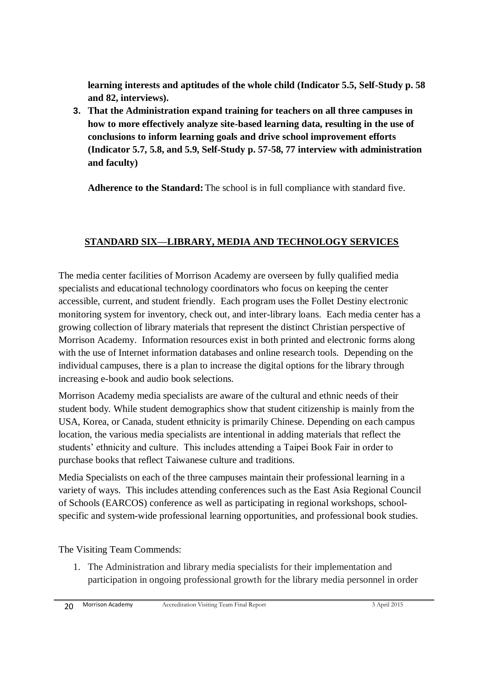**learning interests and aptitudes of the whole child (Indicator 5.5, Self-Study p. 58 and 82, interviews).**

**3. That the Administration expand training for teachers on all three campuses in how to more effectively analyze site-based learning data, resulting in the use of conclusions to inform learning goals and drive school improvement efforts (Indicator 5.7, 5.8, and 5.9, Self-Study p. 57-58, 77 interview with administration and faculty)** 

**Adherence to the Standard:** The school is in full compliance with standard five.

## **STANDARD SIX—LIBRARY, MEDIA AND TECHNOLOGY SERVICES**

The media center facilities of Morrison Academy are overseen by fully qualified media specialists and educational technology coordinators who focus on keeping the center accessible, current, and student friendly. Each program uses the Follet Destiny electronic monitoring system for inventory, check out, and inter-library loans. Each media center has a growing collection of library materials that represent the distinct Christian perspective of Morrison Academy. Information resources exist in both printed and electronic forms along with the use of Internet information databases and online research tools. Depending on the individual campuses, there is a plan to increase the digital options for the library through increasing e-book and audio book selections.

Morrison Academy media specialists are aware of the cultural and ethnic needs of their student body. While student demographics show that student citizenship is mainly from the USA, Korea, or Canada, student ethnicity is primarily Chinese. Depending on each campus location, the various media specialists are intentional in adding materials that reflect the students' ethnicity and culture. This includes attending a Taipei Book Fair in order to purchase books that reflect Taiwanese culture and traditions.

Media Specialists on each of the three campuses maintain their professional learning in a variety of ways. This includes attending conferences such as the East Asia Regional Council of Schools (EARCOS) conference as well as participating in regional workshops, schoolspecific and system-wide professional learning opportunities, and professional book studies.

The Visiting Team Commends:

1. The Administration and library media specialists for their implementation and participation in ongoing professional growth for the library media personnel in order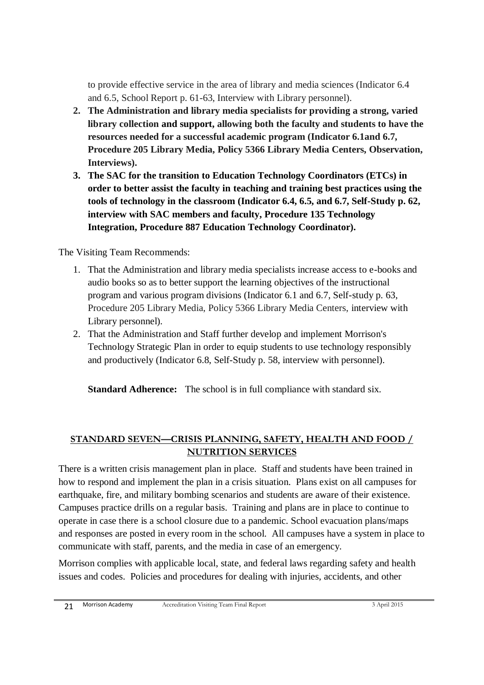to provide effective service in the area of library and media sciences (Indicator 6.4 and 6.5, School Report p. 61-63, Interview with Library personnel).

- **2. The Administration and library media specialists for providing a strong, varied library collection and support, allowing both the faculty and students to have the resources needed for a successful academic program (Indicator 6.1and 6.7, Procedure 205 Library Media, Policy 5366 Library Media Centers, Observation, Interviews).**
- **3. The SAC for the transition to Education Technology Coordinators (ETCs) in order to better assist the faculty in teaching and training best practices using the tools of technology in the classroom (Indicator 6.4, 6.5, and 6.7, Self-Study p. 62, interview with SAC members and faculty, Procedure 135 Technology Integration, Procedure 887 Education Technology Coordinator).**

The Visiting Team Recommends:

- 1. That the Administration and library media specialists increase access to e-books and audio books so as to better support the learning objectives of the instructional program and various program divisions (Indicator 6.1 and 6.7, Self-study p. 63, Procedure 205 Library Media, Policy 5366 Library Media Centers, interview with Library personnel)*.*
- 2. That the Administration and Staff further develop and implement Morrison's Technology Strategic Plan in order to equip students to use technology responsibly and productively (Indicator 6.8, Self-Study p. 58, interview with personnel).

**Standard Adherence:** The school is in full compliance with standard six.

## **STANDARD SEVEN—CRISIS PLANNING, SAFETY, HEALTH AND FOOD / NUTRITION SERVICES**

There is a written crisis management plan in place. Staff and students have been trained in how to respond and implement the plan in a crisis situation. Plans exist on all campuses for earthquake, fire, and military bombing scenarios and students are aware of their existence. Campuses practice drills on a regular basis. Training and plans are in place to continue to operate in case there is a school closure due to a pandemic. School evacuation plans/maps and responses are posted in every room in the school. All campuses have a system in place to communicate with staff, parents, and the media in case of an emergency.

Morrison complies with applicable local, state, and federal laws regarding safety and health issues and codes. Policies and procedures for dealing with injuries, accidents, and other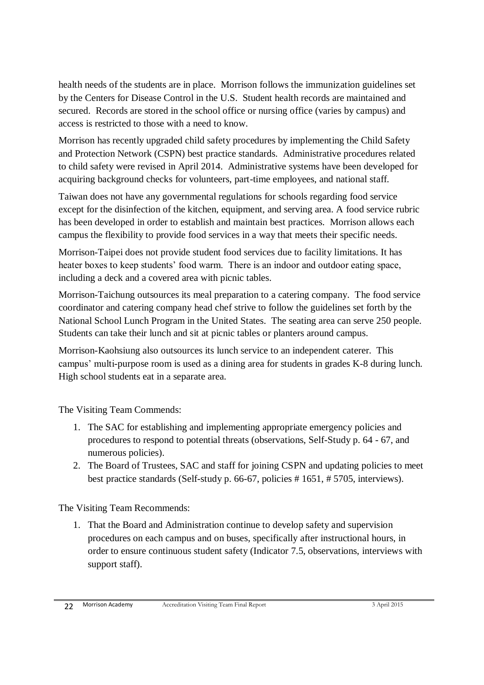health needs of the students are in place. Morrison follows the immunization guidelines set by the Centers for Disease Control in the U.S. Student health records are maintained and secured. Records are stored in the school office or nursing office (varies by campus) and access is restricted to those with a need to know.

Morrison has recently upgraded child safety procedures by implementing the Child Safety and Protection Network (CSPN) best practice standards. Administrative procedures related to child safety were revised in April 2014. Administrative systems have been developed for acquiring background checks for volunteers, part-time employees, and national staff.

Taiwan does not have any governmental regulations for schools regarding food service except for the disinfection of the kitchen, equipment, and serving area. A food service rubric has been developed in order to establish and maintain best practices. Morrison allows each campus the flexibility to provide food services in a way that meets their specific needs.

Morrison-Taipei does not provide student food services due to facility limitations. It has heater boxes to keep students' food warm. There is an indoor and outdoor eating space, including a deck and a covered area with picnic tables.

Morrison-Taichung outsources its meal preparation to a catering company. The food service coordinator and catering company head chef strive to follow the guidelines set forth by the National School Lunch Program in the United States. The seating area can serve 250 people. Students can take their lunch and sit at picnic tables or planters around campus.

Morrison-Kaohsiung also outsources its lunch service to an independent caterer. This campus' multi-purpose room is used as a dining area for students in grades K-8 during lunch. High school students eat in a separate area.

The Visiting Team Commends:

- 1. The SAC for establishing and implementing appropriate emergency policies and procedures to respond to potential threats (observations, Self-Study p. 64 - 67, and numerous policies).
- 2. The Board of Trustees, SAC and staff for joining CSPN and updating policies to meet best practice standards (Self-study p. 66-67, policies # 1651, # 5705, interviews).

The Visiting Team Recommends:

1. That the Board and Administration continue to develop safety and supervision procedures on each campus and on buses, specifically after instructional hours, in order to ensure continuous student safety (Indicator 7.5, observations, interviews with support staff).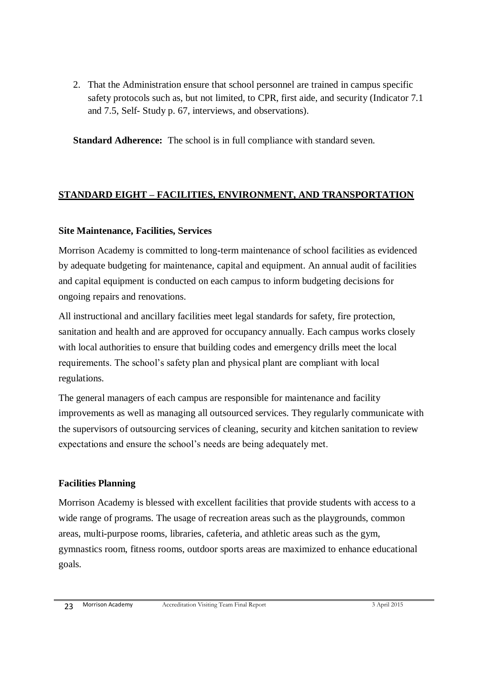2. That the Administration ensure that school personnel are trained in campus specific safety protocols such as, but not limited, to CPR, first aide, and security (Indicator 7.1 and 7.5, Self- Study p. 67, interviews, and observations).

**Standard Adherence:** The school is in full compliance with standard seven.

## **STANDARD EIGHT – FACILITIES, ENVIRONMENT, AND TRANSPORTATION**

#### **Site Maintenance, Facilities, Services**

Morrison Academy is committed to long-term maintenance of school facilities as evidenced by adequate budgeting for maintenance, capital and equipment. An annual audit of facilities and capital equipment is conducted on each campus to inform budgeting decisions for ongoing repairs and renovations.

All instructional and ancillary facilities meet legal standards for safety, fire protection, sanitation and health and are approved for occupancy annually. Each campus works closely with local authorities to ensure that building codes and emergency drills meet the local requirements. The school's safety plan and physical plant are compliant with local regulations.

The general managers of each campus are responsible for maintenance and facility improvements as well as managing all outsourced services. They regularly communicate with the supervisors of outsourcing services of cleaning, security and kitchen sanitation to review expectations and ensure the school's needs are being adequately met.

#### **Facilities Planning**

Morrison Academy is blessed with excellent facilities that provide students with access to a wide range of programs. The usage of recreation areas such as the playgrounds, common areas, multi-purpose rooms, libraries, cafeteria, and athletic areas such as the gym, gymnastics room, fitness rooms, outdoor sports areas are maximized to enhance educational goals.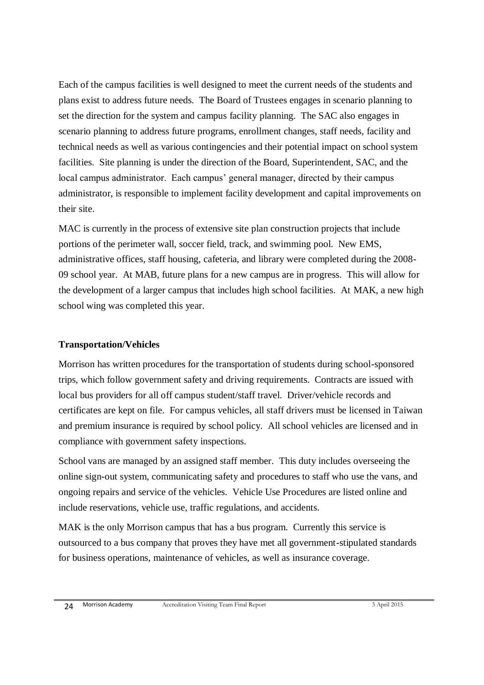Each of the campus facilities is well designed to meet the current needs of the students and plans exist to address future needs. The Board of Trustees engages in scenario planning to set the direction for the system and campus facility planning. The SAC also engages in scenario planning to address future programs, enrollment changes, staff needs, facility and technical needs as well as various contingencies and their potential impact on school system facilities. Site planning is under the direction of the Board, Superintendent, SAC, and the local campus administrator. Each campus' general manager, directed by their campus administrator, is responsible to implement facility development and capital improvements on their site.

MAC is currently in the process of extensive site plan construction projects that include portions of the perimeter wall, soccer field, track, and swimming pool. New EMS, administrative offices, staff housing, cafeteria, and library were completed during the 2008- 09 school year. At MAB, future plans for a new campus are in progress. This will allow for the development of a larger campus that includes high school facilities. At MAK, a new high school wing was completed this year.

#### **Transportation/Vehicles**

Morrison has written procedures for the transportation of students during school-sponsored trips, which follow government safety and driving requirements. Contracts are issued with local bus providers for all off campus student/staff travel. Driver/vehicle records and certificates are kept on file. For campus vehicles, all staff drivers must be licensed in Taiwan and premium insurance is required by school policy. All school vehicles are licensed and in compliance with government safety inspections.

School vans are managed by an assigned staff member. This duty includes overseeing the online sign-out system, communicating safety and procedures to staff who use the vans, and ongoing repairs and service of the vehicles. Vehicle Use Procedures are listed online and include reservations, vehicle use, traffic regulations, and accidents.

MAK is the only Morrison campus that has a bus program. Currently this service is outsourced to a bus company that proves they have met all government-stipulated standards for business operations, maintenance of vehicles, as well as insurance coverage.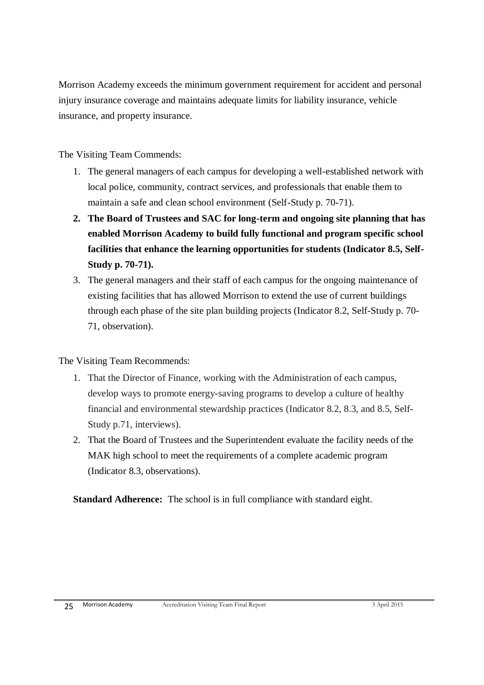Morrison Academy exceeds the minimum government requirement for accident and personal injury insurance coverage and maintains adequate limits for liability insurance, vehicle insurance, and property insurance.

The Visiting Team Commends:

- 1. The general managers of each campus for developing a well-established network with local police, community, contract services, and professionals that enable them to maintain a safe and clean school environment (Self-Study p. 70-71).
- **2. The Board of Trustees and SAC for long-term and ongoing site planning that has enabled Morrison Academy to build fully functional and program specific school facilities that enhance the learning opportunities for students (Indicator 8.5, Self-Study p. 70-71).**
- 3. The general managers and their staff of each campus for the ongoing maintenance of existing facilities that has allowed Morrison to extend the use of current buildings through each phase of the site plan building projects (Indicator 8.2, Self-Study p. 70- 71, observation).

The Visiting Team Recommends:

- 1. That the Director of Finance, working with the Administration of each campus, develop ways to promote energy-saving programs to develop a culture of healthy financial and environmental stewardship practices (Indicator 8.2, 8.3, and 8.5, Self-Study p.71, interviews).
- 2. That the Board of Trustees and the Superintendent evaluate the facility needs of the MAK high school to meet the requirements of a complete academic program (Indicator 8.3, observations).

**Standard Adherence:** The school is in full compliance with standard eight.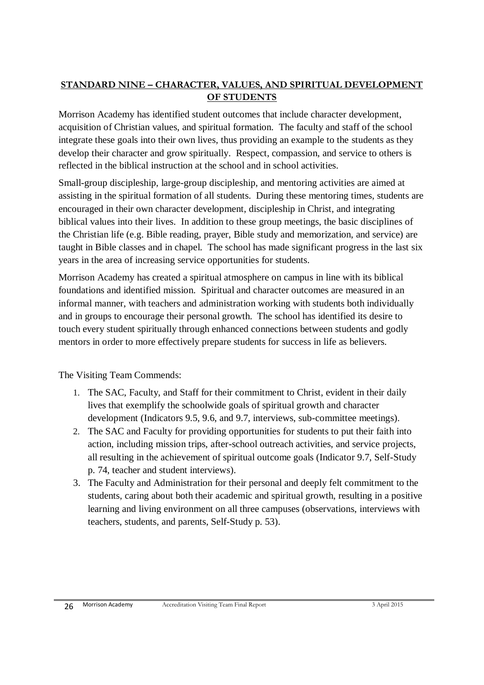#### **STANDARD NINE – CHARACTER, VALUES, AND SPIRITUAL DEVELOPMENT OF STUDENTS**

Morrison Academy has identified student outcomes that include character development, acquisition of Christian values, and spiritual formation. The faculty and staff of the school integrate these goals into their own lives, thus providing an example to the students as they develop their character and grow spiritually. Respect, compassion, and service to others is reflected in the biblical instruction at the school and in school activities.

Small-group discipleship, large-group discipleship, and mentoring activities are aimed at assisting in the spiritual formation of all students. During these mentoring times, students are encouraged in their own character development, discipleship in Christ, and integrating biblical values into their lives. In addition to these group meetings, the basic disciplines of the Christian life (e.g. Bible reading, prayer, Bible study and memorization, and service) are taught in Bible classes and in chapel. The school has made significant progress in the last six years in the area of increasing service opportunities for students.

Morrison Academy has created a spiritual atmosphere on campus in line with its biblical foundations and identified mission. Spiritual and character outcomes are measured in an informal manner, with teachers and administration working with students both individually and in groups to encourage their personal growth. The school has identified its desire to touch every student spiritually through enhanced connections between students and godly mentors in order to more effectively prepare students for success in life as believers.

The Visiting Team Commends:

- 1. The SAC, Faculty, and Staff for their commitment to Christ, evident in their daily lives that exemplify the schoolwide goals of spiritual growth and character development (Indicators 9.5, 9.6, and 9.7, interviews, sub-committee meetings).
- 2. The SAC and Faculty for providing opportunities for students to put their faith into action, including mission trips, after-school outreach activities, and service projects, all resulting in the achievement of spiritual outcome goals (Indicator 9.7, Self-Study p. 74, teacher and student interviews).
- 3. The Faculty and Administration for their personal and deeply felt commitment to the students, caring about both their academic and spiritual growth, resulting in a positive learning and living environment on all three campuses (observations, interviews with teachers, students, and parents, Self-Study p. 53).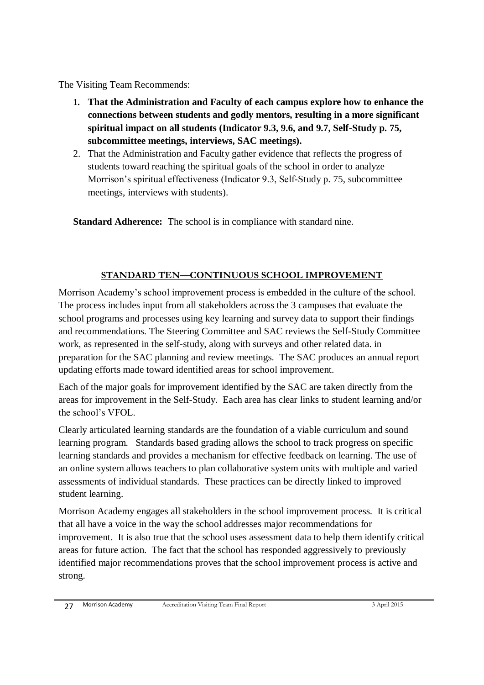The Visiting Team Recommends:

- **1. That the Administration and Faculty of each campus explore how to enhance the connections between students and godly mentors, resulting in a more significant spiritual impact on all students (Indicator 9.3, 9.6, and 9.7, Self-Study p. 75, subcommittee meetings, interviews, SAC meetings).**
- 2. That the Administration and Faculty gather evidence that reflects the progress of students toward reaching the spiritual goals of the school in order to analyze Morrison's spiritual effectiveness (Indicator 9.3, Self-Study p. 75, subcommittee meetings, interviews with students).

**Standard Adherence:** The school is in compliance with standard nine.

## **STANDARD TEN—CONTINUOUS SCHOOL IMPROVEMENT**

Morrison Academy's school improvement process is embedded in the culture of the school. The process includes input from all stakeholders across the 3 campuses that evaluate the school programs and processes using key learning and survey data to support their findings and recommendations. The Steering Committee and SAC reviews the Self-Study Committee work, as represented in the self-study, along with surveys and other related data. in preparation for the SAC planning and review meetings. The SAC produces an annual report updating efforts made toward identified areas for school improvement.

Each of the major goals for improvement identified by the SAC are taken directly from the areas for improvement in the Self-Study. Each area has clear links to student learning and/or the school's VFOL.

Clearly articulated learning standards are the foundation of a viable curriculum and sound learning program. Standards based grading allows the school to track progress on specific learning standards and provides a mechanism for effective feedback on learning. The use of an online system allows teachers to plan collaborative system units with multiple and varied assessments of individual standards. These practices can be directly linked to improved student learning.

Morrison Academy engages all stakeholders in the school improvement process. It is critical that all have a voice in the way the school addresses major recommendations for improvement. It is also true that the school uses assessment data to help them identify critical areas for future action. The fact that the school has responded aggressively to previously identified major recommendations proves that the school improvement process is active and strong.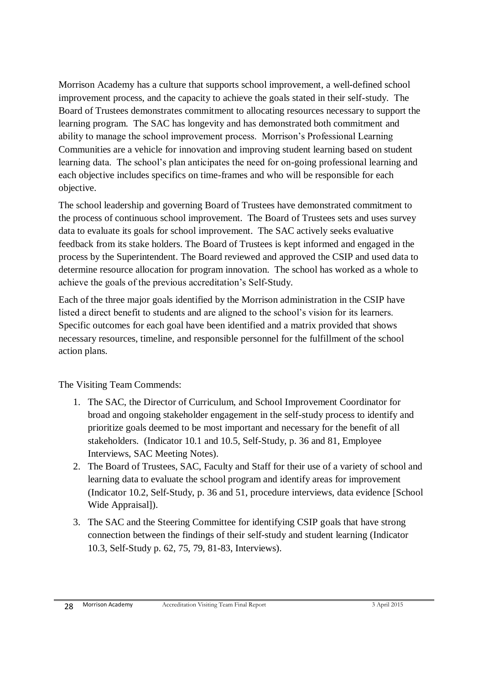Morrison Academy has a culture that supports school improvement, a well-defined school improvement process, and the capacity to achieve the goals stated in their self-study. The Board of Trustees demonstrates commitment to allocating resources necessary to support the learning program. The SAC has longevity and has demonstrated both commitment and ability to manage the school improvement process. Morrison's Professional Learning Communities are a vehicle for innovation and improving student learning based on student learning data. The school's plan anticipates the need for on-going professional learning and each objective includes specifics on time-frames and who will be responsible for each objective.

The school leadership and governing Board of Trustees have demonstrated commitment to the process of continuous school improvement. The Board of Trustees sets and uses survey data to evaluate its goals for school improvement. The SAC actively seeks evaluative feedback from its stake holders. The Board of Trustees is kept informed and engaged in the process by the Superintendent. The Board reviewed and approved the CSIP and used data to determine resource allocation for program innovation. The school has worked as a whole to achieve the goals of the previous accreditation's Self-Study.

Each of the three major goals identified by the Morrison administration in the CSIP have listed a direct benefit to students and are aligned to the school's vision for its learners. Specific outcomes for each goal have been identified and a matrix provided that shows necessary resources, timeline, and responsible personnel for the fulfillment of the school action plans.

The Visiting Team Commends:

- 1. The SAC, the Director of Curriculum, and School Improvement Coordinator for broad and ongoing stakeholder engagement in the self-study process to identify and prioritize goals deemed to be most important and necessary for the benefit of all stakeholders. (Indicator 10.1 and 10.5, Self-Study, p. 36 and 81, Employee Interviews, SAC Meeting Notes).
- 2. The Board of Trustees, SAC, Faculty and Staff for their use of a variety of school and learning data to evaluate the school program and identify areas for improvement (Indicator 10.2, Self-Study, p. 36 and 51, procedure interviews, data evidence [School Wide Appraisal]).
- 3. The SAC and the Steering Committee for identifying CSIP goals that have strong connection between the findings of their self-study and student learning (Indicator 10.3, Self-Study p. 62, 75, 79, 81-83, Interviews).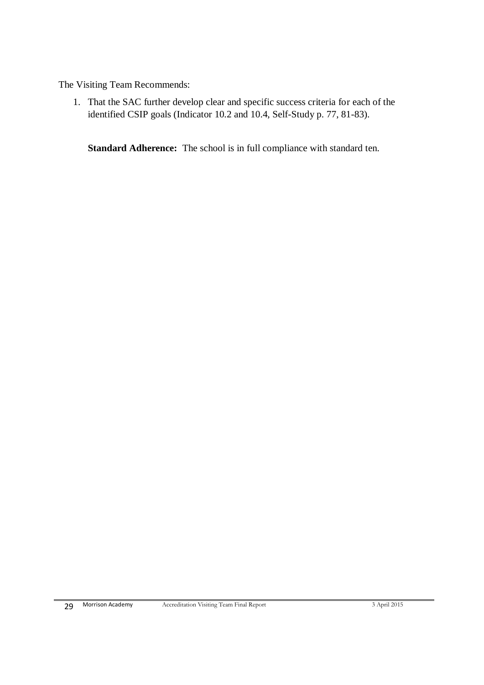The Visiting Team Recommends:

1. That the SAC further develop clear and specific success criteria for each of the identified CSIP goals (Indicator 10.2 and 10.4, Self-Study p. 77, 81-83).

**Standard Adherence:** The school is in full compliance with standard ten.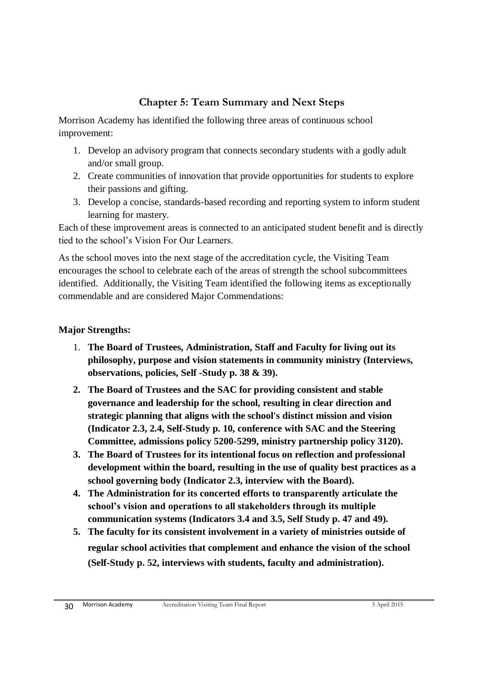## **Chapter 5: Team Summary and Next Steps**

Morrison Academy has identified the following three areas of continuous school improvement:

- 1. Develop an advisory program that connects secondary students with a godly adult and/or small group.
- 2. Create communities of innovation that provide opportunities for students to explore their passions and gifting.
- 3. Develop a concise, standards-based recording and reporting system to inform student learning for mastery.

Each of these improvement areas is connected to an anticipated student benefit and is directly tied to the school's Vision For Our Learners.

As the school moves into the next stage of the accreditation cycle, the Visiting Team encourages the school to celebrate each of the areas of strength the school subcommittees identified. Additionally, the Visiting Team identified the following items as exceptionally commendable and are considered Major Commendations:

#### **Major Strengths:**

- 1. **The Board of Trustees, Administration, Staff and Faculty for living out its philosophy, purpose and vision statements in community ministry (Interviews, observations, policies, Self -Study p. 38 & 39).**
- **2. The Board of Trustees and the SAC for providing consistent and stable governance and leadership for the school, resulting in clear direction and strategic planning that aligns with the school's distinct mission and vision (Indicator 2.3, 2.4, Self-Study p. 10, conference with SAC and the Steering Committee, admissions policy 5200-5299, ministry partnership policy 3120).**
- **3. The Board of Trustees for its intentional focus on reflection and professional development within the board, resulting in the use of quality best practices as a school governing body (Indicator 2.3, interview with the Board).**
- **4. The Administration for its concerted efforts to transparently articulate the school's vision and operations to all stakeholders through its multiple communication systems (Indicators 3.4 and 3.5, Self Study p. 47 and 49).**
- **5. The faculty for its consistent involvement in a variety of ministries outside of regular school activities that complement and enhance the vision of the school (Self-Study p. 52, interviews with students, faculty and administration).**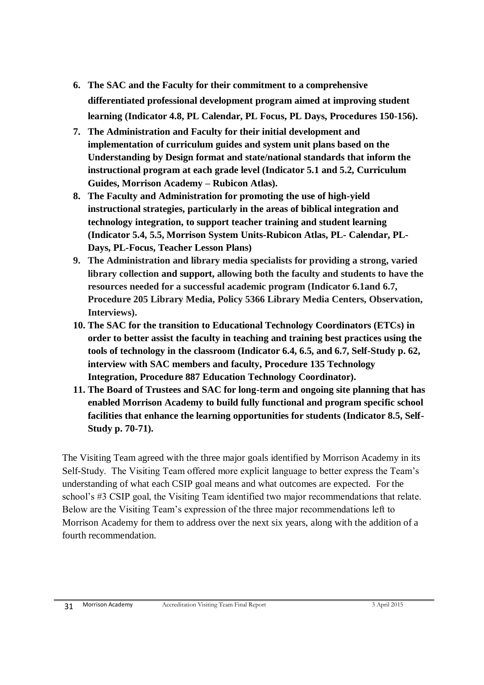- **6. The SAC and the Faculty for their commitment to a comprehensive differentiated professional development program aimed at improving student learning (Indicator 4.8, PL Calendar, PL Focus, PL Days, Procedures 150-156).**
- **7. The Administration and Faculty for their initial development and implementation of curriculum guides and system unit plans based on the Understanding by Design format and state/national standards that inform the instructional program at each grade level (Indicator 5.1 and 5.2, Curriculum Guides, Morrison Academy – Rubicon Atlas).**
- **8. The Faculty and Administration for promoting the use of high-yield instructional strategies, particularly in the areas of biblical integration and technology integration, to support teacher training and student learning (Indicator 5.4, 5.5, Morrison System Units-Rubicon Atlas, PL- Calendar, PL-Days, PL-Focus, Teacher Lesson Plans)**
- **9. The Administration and library media specialists for providing a strong, varied library collection and support, allowing both the faculty and students to have the resources needed for a successful academic program (Indicator 6.1and 6.7, Procedure 205 Library Media, Policy 5366 Library Media Centers, Observation, Interviews).**
- **10. The SAC for the transition to Educational Technology Coordinators (ETCs) in order to better assist the faculty in teaching and training best practices using the tools of technology in the classroom (Indicator 6.4, 6.5, and 6.7, Self-Study p. 62, interview with SAC members and faculty, Procedure 135 Technology Integration, Procedure 887 Education Technology Coordinator).**
- **11. The Board of Trustees and SAC for long-term and ongoing site planning that has enabled Morrison Academy to build fully functional and program specific school facilities that enhance the learning opportunities for students (Indicator 8.5, Self-Study p. 70-71).**

The Visiting Team agreed with the three major goals identified by Morrison Academy in its Self-Study. The Visiting Team offered more explicit language to better express the Team's understanding of what each CSIP goal means and what outcomes are expected. For the school's #3 CSIP goal, the Visiting Team identified two major recommendations that relate. Below are the Visiting Team's expression of the three major recommendations left to Morrison Academy for them to address over the next six years, along with the addition of a fourth recommendation.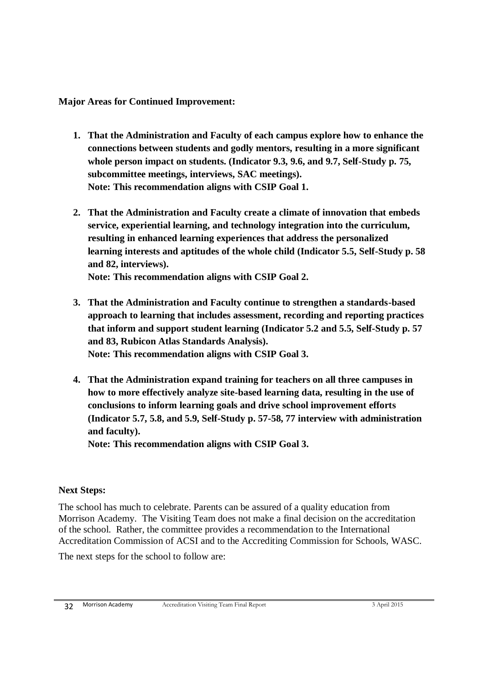**Major Areas for Continued Improvement:**

- **1. That the Administration and Faculty of each campus explore how to enhance the connections between students and godly mentors, resulting in a more significant whole person impact on students. (Indicator 9.3, 9.6, and 9.7, Self-Study p. 75, subcommittee meetings, interviews, SAC meetings). Note: This recommendation aligns with CSIP Goal 1.**
- **2. That the Administration and Faculty create a climate of innovation that embeds service, experiential learning, and technology integration into the curriculum, resulting in enhanced learning experiences that address the personalized learning interests and aptitudes of the whole child (Indicator 5.5, Self-Study p. 58 and 82, interviews).**

**Note: This recommendation aligns with CSIP Goal 2.**

- **3. That the Administration and Faculty continue to strengthen a standards-based approach to learning that includes assessment, recording and reporting practices that inform and support student learning (Indicator 5.2 and 5.5, Self-Study p. 57 and 83, Rubicon Atlas Standards Analysis). Note: This recommendation aligns with CSIP Goal 3.**
- **4. That the Administration expand training for teachers on all three campuses in how to more effectively analyze site-based learning data, resulting in the use of conclusions to inform learning goals and drive school improvement efforts (Indicator 5.7, 5.8, and 5.9, Self-Study p. 57-58, 77 interview with administration and faculty).**

**Note: This recommendation aligns with CSIP Goal 3.**

#### **Next Steps:**

The school has much to celebrate. Parents can be assured of a quality education from Morrison Academy. The Visiting Team does not make a final decision on the accreditation of the school. Rather, the committee provides a recommendation to the International Accreditation Commission of ACSI and to the Accrediting Commission for Schools, WASC.

The next steps for the school to follow are: